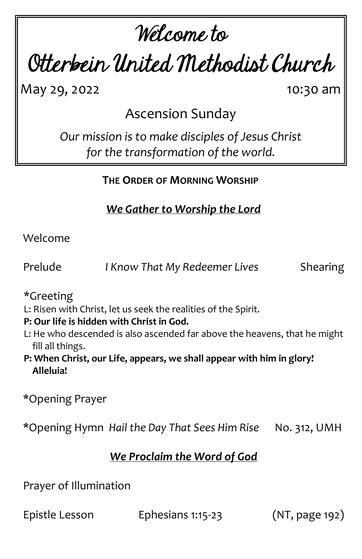# Welcome to

Otterbein United Methodist Church

May 29, 2022 10:30 am

Ascension Sunday

*Our mission is to make disciples of Jesus Christ for the transformation of the world.*

**THE ORDER OF MORNING WORSHIP**

*We Gather to Worship the Lord*

Welcome

Prelude *I Know That My Redeemer Lives* Shearing

\*Greeting

L: Risen with Christ, let us seek the realities of the Spirit.

**P: Our life is hidden with Christ in God.**

- L: He who descended is also ascended far above the heavens, that he might fill all things.
- **P: When Christ, our Life, appears, we shall appear with him in glory! Alleluia!**

\*Opening Prayer

\*Opening Hymn *Hail the Day That Sees Him Rise* No. 312, UMH

# *We Proclaim the Word of God*

Prayer of Illumination

Epistle Lesson Ephesians 1:15-23 (NT, page 192)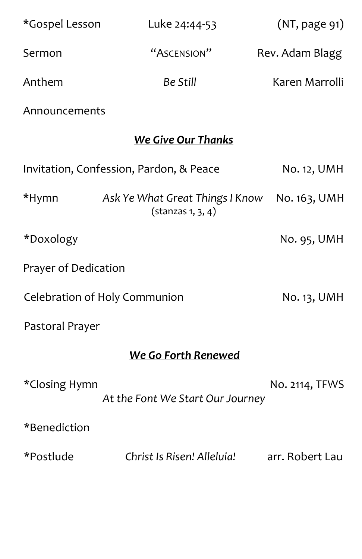| *Gospel Lesson                | Luke 24:44-53                                                  | (NT, page 91)   |  |
|-------------------------------|----------------------------------------------------------------|-----------------|--|
| Sermon                        | "ASCENSION"                                                    | Rev. Adam Blagg |  |
| Anthem                        | <b>Be Still</b>                                                | Karen Marrolli  |  |
| Announcements                 |                                                                |                 |  |
| <b>We Give Our Thanks</b>     |                                                                |                 |  |
|                               | Invitation, Confession, Pardon, & Peace                        | No. 12, UMH     |  |
| *Hymn                         | Ask Ye What Great Things I Know<br>$(\text{stanzas } 1, 3, 4)$ | No. 163, UMH    |  |
| *Doxology                     |                                                                | No. 95, UMH     |  |
| Prayer of Dedication          |                                                                |                 |  |
| Celebration of Holy Communion | No. 13, UMH                                                    |                 |  |
| Pastoral Prayer               |                                                                |                 |  |
| We Go Forth Renewed           |                                                                |                 |  |
| *Closing Hymn                 | At the Font We Start Our Journey                               | No. 2114, TFWS  |  |
| *Benediction                  |                                                                |                 |  |
| *Postlude                     | Christ Is Risen! Alleluia!                                     | arr. Robert Lau |  |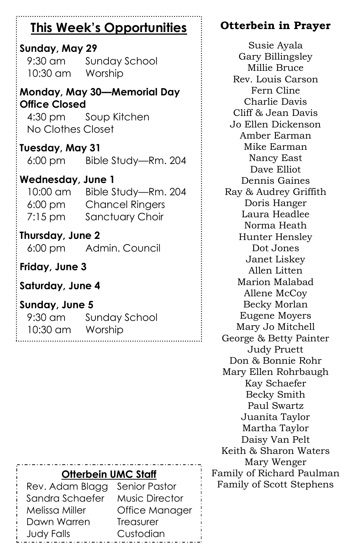# **This Week's Opportunities**

### **Sunday, May 29**

9:30 am Sunday School 10:30 am Worship

**Monday, May 30—Memorial Day Office Closed**

4:30 pm Soup Kitchen No Clothes Closet

#### **Tuesday, May 31**

6:00 pm Bible Study—Rm. 204

#### **Wednesday, June 1**

10:00 am Bible Study—Rm. 204 6:00 pm Chancel Ringers 7:15 pm Sanctuary Choir

#### **Thursday, June 2**

6:00 pm Admin. Council

**Friday, June 3**

#### **Saturday, June 4**

#### **Sunday, June 5**

| $9:30$ am | <b>Sunday School</b> |
|-----------|----------------------|
| 10:30 am  | Worship              |

# **Otterbein in Prayer**

Susie Ayala Gary Billingsley Millie Bruce Rev. Louis Carson Fern Cline Charlie Davis Cliff & Jean Davis Jo Ellen Dickenson Amber Earman Mike Earman Nancy East Dave Elliot Dennis Gaines Ray & Audrey Griffith Doris Hanger Laura Headlee Norma Heath Hunter Hensley Dot Jones Janet Liskey Allen Litten Marion Malabad Allene McCoy Becky Morlan Eugene Moyers Mary Jo Mitchell George & Betty Painter Judy Pruett Don & Bonnie Rohr Mary Ellen Rohrbaugh Kay Schaefer Becky Smith Paul Swartz Juanita Taylor Martha Taylor Daisy Van Pelt Keith & Sharon Waters Mary Wenger Family of Richard Paulman Family of Scott Stephens

#### **Otterbein UMC Staff**

Rev. Adam Blagg Senior Pastor Sandra Schaefer Music Director Melissa Miller Office Manager Dawn Warren Treasurer Judy Falls Custodian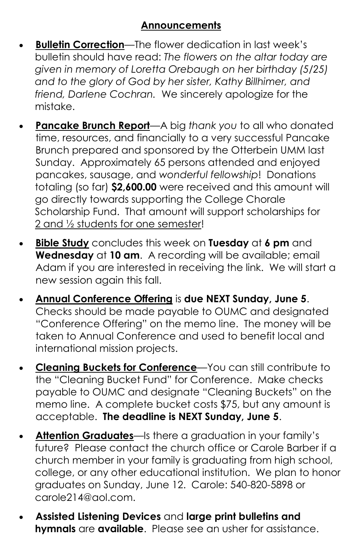- **Bulletin Correction**—The flower dedication in last week's bulletin should have read: *The flowers on the altar today are given in memory of Loretta Orebaugh on her birthday (5/25) and to the glory of God by her sister, Kathy Billhimer, and friend, Darlene Cochran.* We sincerely apologize for the mistake.
- **Pancake Brunch Report**—A big *thank you* to all who donated time, resources, and financially to a very successful Pancake Brunch prepared and sponsored by the Otterbein UMM last Sunday. Approximately 65 persons attended and enjoyed pancakes, sausage, and *wonderful fellowship*! Donations totaling (so far) **\$2,600.00** were received and this amount will go directly towards supporting the College Chorale Scholarship Fund. That amount will support scholarships for 2 and ½ students for one semester!
- **Bible Study** concludes this week on **Tuesday** at **6 pm** and **Wednesday** at **10 am**. A recording will be available; email Adam if you are interested in receiving the link. We will start a new session again this fall.
- **Annual Conference Offering** is **due NEXT Sunday, June 5**. Checks should be made payable to OUMC and designated "Conference Offering" on the memo line. The money will be taken to Annual Conference and used to benefit local and international mission projects.
- **Cleaning Buckets for Conference**—You can still contribute to the "Cleaning Bucket Fund" for Conference. Make checks payable to OUMC and designate "Cleaning Buckets" on the memo line. A complete bucket costs \$75, but any amount is acceptable. **The deadline is NEXT Sunday, June 5**.
- **Attention Graduates**—Is there a graduation in your family's future? Please contact the church office or Carole Barber if a church member in your family is graduating from high school, college, or any other educational institution. We plan to honor graduates on Sunday, June 12. Carole: 540-820-5898 or carole214@aol.com.
- **Assisted Listening Devices** and **large print bulletins and hymnals** are **available**. Please see an usher for assistance.